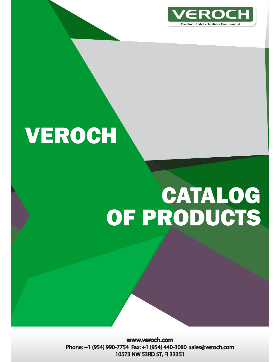

# **VEROCH**

# CATALOG OF PRODUCTS

www.veroch.com Phone: +1 (954) 990-7754 Fax: +1 (954) 440-3080 sales@veroch.com 10573 NW 53RD ST, FI 33351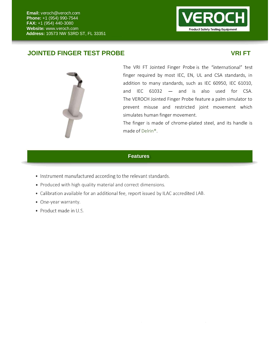

## **JOINTED FINGER TEST PROBE VRI FT**



The VRI FT Jointed Finger Probe is the "international" test finger required by most IEC, EN, UL and CSA standards, in addition to many standards, such as IEC 60950, IEC 61010, and IEC  $61032 - a$ nd is also used for CSA. The VEROCH Jointed Finger Probe feature a palm simulator to prevent misuse and restricted joint movement which simulates human finger movement.

The finger is made of chrome‐plated steel, and its handle is made of Delrin®.

## **Features**

- Instrument manufactured according to the relevant standards.
- Produced with high quality material and correct dimensions.
- Calibration available for an additional fee, report issued by ILAC accredited LAB.
- One-year warranty.
- Product made in U.S.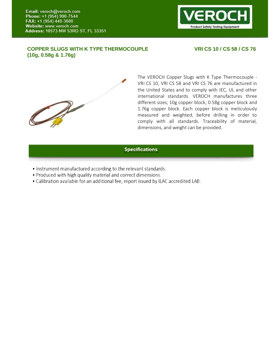

## **COPPER SLUGS WITH K TYPE THERMOCOUPLE (10g, 0.58g & 1.76g)**

## **VRI CS 10 / CS 58 / CS 76**



The VEROCH Copper Slugs with K Type Thermocouple VRI CS 10, VRI CS 58 and VRI CS 76 are manufactured in the United States and to comply with IEC, UL and other international standards. VEROCH manufactures three different sizes, 10g copper block, 0.58g copper block and 1.76g copper block. Each copper block is meticulously measured and weighted, before drilling in order to comply with all standards. Traceability of material, dimensions, and weight can be provided.

### **Specifications**

- Instrument manufactured according to the relevant standards.
- Produced with high quality material and correct dimensions.
- Calibration available for an additional fee, report issued by ILAC accredited LAB.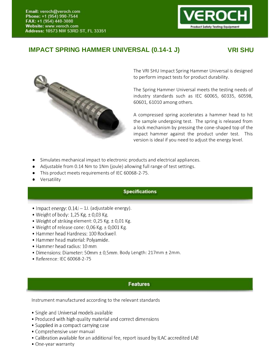

# **IMPACT SPRING HAMMER UNIVERSAL (0.14-1 J) VRI SHU**



The VRI SHU Impact Spring Hammer Universal is designed to perform impact tests for product durability.

The Spring Hammer Universal meets the testing needs of industry standards such as IEC 60065, 60335, 60598, 60601, 61010 among others.

A compressed spring accelerates a hammer head to hit the sample undergoing test. The spring is released from a lock mechanism by pressing the cone-shaped top of the impact hammer against the product under test. This version is ideal if you need to adjust the energy level.

- Simulates mechanical impact to electronic products and electrical appliances.
- Adjustable from 0.14 Nm to 1Nm (joule) allowing full range of test settings.
- This product meets requirements of IEC 60068-2-75.
- **•** Versatility

## **Specifications**

- $\bullet$  Impact energy:  $0.14$ J $-1$ J. (adjustable energy).
- Weight of body:  $1,25$  Kg.  $\pm$  0,03 Kg.
- Weight of striking element: 0,25 Kg. ± 0,01 Kg.
- Weight of release cone:  $0,06$  Kg.  $\pm$  0,001 Kg.
- Hammer head Hardness: 100 Rockwell.
- · Hammer head material: Polyamide.
- Hammer head radius: 10 mm.
- **Features**  Body Length: 217mm ± 2mm.
- Reference: IEC 60068-2-75

## **Features**

- Single and Universal models available
- Produced with high quality material and correct dimensions
- Supplied in a compact carrying case
- Comprehensive user manual
- Calibration available for an additional fee, report issued by ILAC accredited LAB
- One-year warranty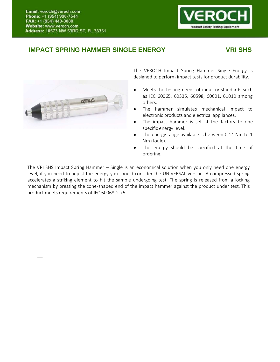

# **IMPACT SPRING HAMMER SINGLE ENERGY VRI SHS**



Test Probe 1.1.1\_VRI.FT

The VEROCH Impact Spring Hammer Single Energy is designed to perform impact tests for product durability.

- Meets the testing needs of industry standards such  $\bullet$ as IEC 60065, 60335, 60598, 60601, 61010 among others.
- The hammer simulates mechanical impact to electronic products and electrical appliances.
- The impact hammer is set at the factory to one specific energy level.
- The energy range available is between 0.14 Nm to 1 Nm (Joule).
- The energy should be specified at the time of ordering.

The VRI SHS Impact Spring Hammer – Single is an economical solution when you only need one energy level, if you need to adjust the energy you should consider the UNIVERSAL version. A compressed spring accelerates a striking element to hit the sample undergoing test. The spring is released from a locking mechanism by pressing the cone-shaped end of the impact hammer against the product under test. This product meets requirements of IEC 60068-2-75.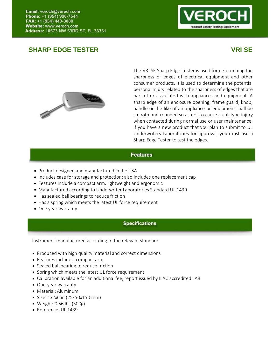# **SHARP EDGE TESTER VRI SE**





The VRI SE Sharp Edge Tester is used for determining the sharpness of edges of electrical equipment and other consumer products. It is used to determine the potential personal injury related to the sharpness of edges that are part of or associated with appliances and equipment. A sharp edge of an enclosure opening, frame guard, knob, handle or the like of an appliance or equipment shall be smooth and rounded so as not to cause a cut-type injury when contacted during normal use or user maintenance. If you have a new product that you plan to submit to UL Underwriters Laboratories for approval, you must use a Sharp Edge Tester to test the edges.

## **Features**

- Product designed and manufactured in the USA
- Includes case for storage and protection; also includes one replacement cap
- Features include a compact arm, lightweight and ergonomic
- Manufactured according to Underwriter Laboratories Standard UL 1439
- Has sealed ball bearings to reduce friction
- Has a spring which meets the latest UL force requirement
- One year warranty.

## **Specifications**

- Produced with high quality material and correct dimensions
- Features include a compact arm
- Sealed ball bearing to reduce friction
- Test Probe 1.1.1\_VRI.FT Spring which meets the latest UL force requirement
	- Calibration available for an additional fee, report issued by ILAC accredited LAB
	- One-year warranty
	- Material: Aluminum
	- $\bullet$  Size: 1x2x6 in (25x50x150 mm)
	- Weight: 0.66 lbs (300g)
	- Reference: UL 1439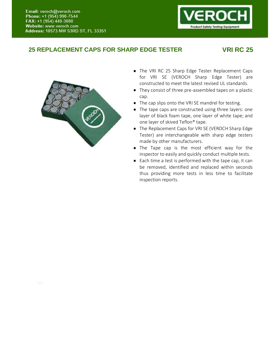# Product Safety Testing Equipment

## **25 REPLACEMENT CAPS FOR SHARP EDGE TESTER VRI RC 25**



Test Probe 1.1.1\_VRI.FT

- The VRI RC 25 Sharp Edge Tester Replacement Caps for VRI SE (VEROCH Sharp Edge Tester) are constructed to meet the latest revised UL standards.
- They consist of three pre-assembled tapes on a plastic cap.
- The cap slips onto the VRI SE mandrel for testing.
- The tape caps are constructed using three layers: one layer of black foam tape, one layer of white tape; and one layer of skived Teflon® tape.
- The Replacement Caps for VRI SE (VEROCH Sharp Edge Tester) are interchangeable with sharp edge testers made by other manufacturers.
- The Tape cap is the most efficient way for the inspector to easily and quickly conduct multiple tests.
- Each time a test is performed with the tape cap, it can be removed, identified and replaced within seconds thus providing more tests in less time to facilitate inspection reports.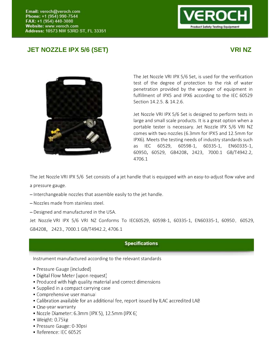## **JET NOZZLE IPX 5/6 (SET) VRI NZ**





The Jet Nozzle VRI IPX 5/6 Set, is used for the verification test of the degree of protection to the risk of water penetration provided by the wrapper of equipment in fulfillment of IPX5 and IPX6 according to the IEC 60529 Section 14.2.5. & 14.2.6.

Jet Nozzle VRI IPX 5/6 Set is designed to perform tests in large and small scale products. It is a great option when a portable tester is necessary. Jet Nozzle IPX 5/6 VRI NZ comes with two nozzles (6.3mm for IPX5 and 12.5mm for IPX6). Meets the testing needs of industry standards such as IEC 60529, 60598-1, 60335-1, EN60335-1, 60950, 60529, GB4208, 2423, 7000.1 GB/T4942.2, 4706.1

The Jet Nozzle VRI IPX 5/6 Set consists of a jet handle that is equipped with an easy-to-adjust flow valve and a pressure gauge.

- $-$ Interchangeable nozzles that assemble easily to the jet handle.
- Nozzles made from stainless steel.
- $-$  Designed and manufactured in the USA.

Jet Nozzle VRI IPX 5/6 VRI NZ Conforms To IEC60529, 60598-1, 60335-1, EN60335-1, 60950, 60529, GB4208, 2423., 7000.1 GB/T4942.2, 4706.1

## **Specifications**

- Pressure Gauge (included)
- Digital Flow Meter (upon request)
- Produced with high quality material and correct dimensions
- Supplied in a compact carrying case
- Comprehensive user manual
- Calibration available for an additional fee, report issued by ILAC accredited LAB
- One-year warranty
- · Nozzle Diameter: 6.3mm (IPX 5), 12.5mm (IPX 6)
- $\bullet$  Weight: 0.75 $kg$
- Pressure Gauge: 0-30psi
- · Reference: IEC 60529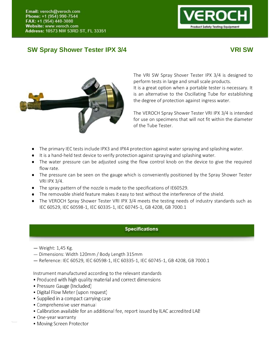# **SW Spray Shower Tester IPX 3/4 VRI SW VRI SW**

# oduct Safety Testing Equipment



The VRI SW Spray Shover Tester IPX 3/4 is designed to perform tests in large and small scale products. It is a great option when a portable tester is necessary. It is an alternative to the Oscillating Tube for establishing the degree of protection against ingress water.

The VEROCH Spray Shower Tester VRI IPX 3/4 is intended for use on specimens that will not fit within the diameter of the Tube Tester.

- The primary IEC tests include IPX3 and IPX4 protection against water spraying and splashing water.
- It is a hand-held test device to verify protection against spraying and splashing water.
- The water pressure can be adjusted using the flow control knob on the device to give the required flow rate.
- The pressure can be seen on the gauge which is conveniently positioned by the Spray Shower Tester VRI IPX 3/4.
- The spray pattern of the nozzle is made to the specifications of IE60529.
- The removable shield feature makes it easy to test without the interference of the shield.
- The VEROCH Spray Shower Tester VRI IPX 3/4 meets the testing needs of industry standards such as IEC 60529, IEC 60598-1, IEC 60335-1, IEC 60745-1, GB 4208, GB 7000.1

## **Specifications**

- Weight: 1,45 Kg.
- $-$  Dimensions: Width 120mm / Body Length 315mm
- **Features**  Reference: IEC 60529, IEC 605981, IEC 603351, IEC 607451, GB 4208, GB 7000.1

- Produced with high quality material and correct dimensions
- Pressure Gauge (Included)
- Digital Flow Meter (upon request)
- Supplied in a compact carrying case
- Comprehensive user manual
- Calibration available for an additional fee, report issued by ILAC accredited LAB
- One-year warranty
- Moving Screen Protector